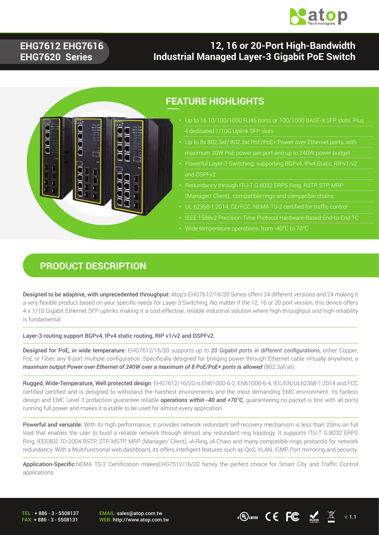

## **EHG7612 EHG7616 EHG7620 Series**

## **12, 16 or 20-Port High-Bandwidth Industrial Managed Layer-3 Gigabit PoE Switch**



## **FEATURE HIGHLIGHTS**

- 4 dedicated 1/10G Uplink SFP slots
- 
- Powerful Layer-3 Switching, supporting BGPv4, IPv4 Static, RIPv1/v2 and OSPFv2
- 
- 
- 
- Wide temperature operations, from -40°C to 70°C

#### **PRODUCT DESCRIPTION**

Designed to be adaptive, with unprecedented throughput: Atop's EHG7612/16/20 Series offers 24 different versions and 24 making it a very flexible product based on your specific needs for Layer-3 Switching. No matter if the 12, 16 or 20 port version, this device offers 4 x 1/10 Gigabit Ethernet SFP uplinks making it a cost-effective, reliable industrial solution where high-throughput and high-reliability is fundamental.

Layer-3 routing support BGPv4, IPv4 static routing, RIP v1/v2 and OSPFv2.

Designed for PoE, in wide temperature: EHG7612/16/20 supports *up to 20 Gigabit ports in different configurations*, either Copper, PoE or Fiber, any 8-port multiple configuration. Specifically designed for bringing power through Ethernet cable virtually anywhere, a maximum output Power over Ethernet of 240W over a maximum of 8 PoE/PoE+ ports is allowed (802.3af/at).

Rugged, Wide-Temperature, Well protected design: EHG7612/16/20 is EN61000-6-2, EN61000-6-4, IEC/EN/UL62368-1:2014 and FCC certified certified and is designed to withstand the harshest environments and the most demanding EMC environment. Its fanless design and EMC Level 3 protection guarantee reliable *operations within -40 and +70°C,* guaranteeing no packet is lost with all ports running full power and makes it suitable to be used for almost every application.

Powerful and versatile: With its high performance, it provides network redundant self-recovery mechanism is less than 20ms on full load that enables the user to build a reliable network through almost any redundant ring topology. It supports ITU-T G.8032 ERPS Ring, IEEE802.1D-2004 RSTP, STP, MSTP, MRP (Manager/ Client), iA-Ring, iA-Chain and many compatible rings protocols for network redundancy. With a Multifunctional web dashboard, its offers intelligent features such as QoS, VLAN, IGMP, Port mirroring and security.

Application-Specific:NEMA TS-2 Certification makesEHG7512/16/20 family the perfect choice for Smart City and Traffic Control applications.

TEL : + 886 - 3 - 5508137 FAX: + 886 - 3 - 5508131 EMAIL: sales@atop.com.tw

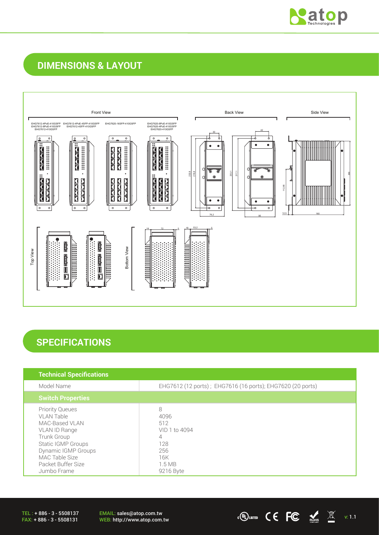

## **DIMENSIONS & LAYOUT**



## **SPECIFICATIONS**

| <b>Technical Specifications</b>                                                                                                                                                            |                                                                                   |
|--------------------------------------------------------------------------------------------------------------------------------------------------------------------------------------------|-----------------------------------------------------------------------------------|
| Model Name                                                                                                                                                                                 | EHG7612 (12 ports); EHG7616 (16 ports); EHG7620 (20 ports)                        |
| <b>Switch Properties</b>                                                                                                                                                                   |                                                                                   |
| <b>Priority Queues</b><br>VLAN Table<br>MAC-Based VLAN<br>VLAN ID Range<br>Trunk Group<br>Static IGMP Groups<br>Dynamic IGMP Groups<br>MAC Table Size<br>Packet Buffer Size<br>Jumbo Frame | 8<br>4096<br>512<br>VID 1 to 4094<br>4<br>128<br>256<br>16K<br>1.5MB<br>9216 Byte |

TEL : + 886 - 3 - 5508137 FAX: + 886 - 3 - 5508131

EMAIL: sales@atop.com.tw EMAIL: sales@atop.com.tw  $VEB: \text{http://www.atop.com.tw}$   $VEB: \text{http://www.atop.com.tw}$   $VEB: \text{http://www.atop.com.tw}$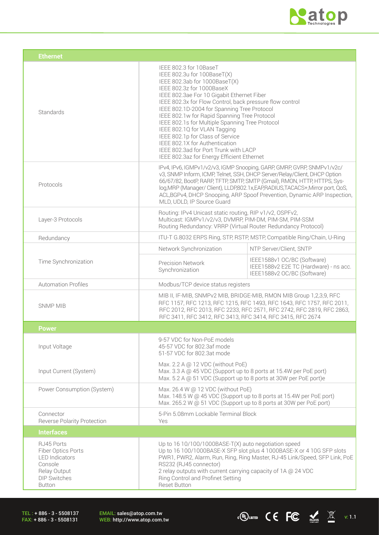

 $\overline{C}$   $\overline{C}$   $\overline{C}$   $\overline{M}$  v: 1.1

| <b>Ethernet</b>                                                                                                              |                                                                                                                                                                                                                                                                                                                                                                                                                                                                                                                                                                              |                                                                                                                                                                                                                                                                                                                                                                                                  |
|------------------------------------------------------------------------------------------------------------------------------|------------------------------------------------------------------------------------------------------------------------------------------------------------------------------------------------------------------------------------------------------------------------------------------------------------------------------------------------------------------------------------------------------------------------------------------------------------------------------------------------------------------------------------------------------------------------------|--------------------------------------------------------------------------------------------------------------------------------------------------------------------------------------------------------------------------------------------------------------------------------------------------------------------------------------------------------------------------------------------------|
| Standards                                                                                                                    | IEEE 802.3 for 10BaseT<br>IEEE 802.3u for 100BaseT(X)<br>IEEE 802.3ab for 1000BaseT(X)<br>IEEE 802.3z for 1000BaseX<br>IEEE 802.3ae For 10 Gigabit Ethernet Fiber<br>IEEE 802.3x for Flow Control, back pressure flow control<br>IEEE 802.1D-2004 for Spanning Tree Protocol<br>IEEE 802.1w for Rapid Spanning Tree Protocol<br>IEEE 802.1s for Multiple Spanning Tree Protocol<br>IEEE 802.1Q for VLAN Tagging<br>IEEE 802.1p for Class of Service<br>IEEE 802.1X for Authentication<br>IEEE 802.3ad for Port Trunk with LACP<br>IEEE 802.3az for Energy Efficient Ethernet |                                                                                                                                                                                                                                                                                                                                                                                                  |
| Protocols                                                                                                                    | MLD, UDLD, IP Source Guard                                                                                                                                                                                                                                                                                                                                                                                                                                                                                                                                                   | IPv4, IPv6, IGMPv1/v2/v3, IGMP Snooping, GARP, GMRP, GVRP, SNMPv1/v2c/<br>v3, SNMP Inform, ICMP, Telnet, SSH, DHCP Server/Relay/Client, DHCP Option<br>66/67/82, BootP, RARP, TFTP, SMTP, SMTP (Gmail), RMON, HTTP, HTTPS, Sys-<br>log, MRP (Manager/ Client), LLDP, 802.1x, EAP, RADIUS, TACACS+, Mirror port, QoS,<br>ACL, BGPv4, DHCP Snooping, ARP Spoof Prevention, Dynamic ARP Inspection, |
| Layer-3 Protocols                                                                                                            | Routing: IPv4 Unicast static routing, RIP v1/v2, OSPFv2,<br>Multicast: IGMPv1/v2/v3, DVMRP, PIM-DM, PIM-SM, PIM-SSM<br>Routing Redundancy: VRRP (Virtual Router Redundancy Protocol)                                                                                                                                                                                                                                                                                                                                                                                         |                                                                                                                                                                                                                                                                                                                                                                                                  |
| Redundancy                                                                                                                   | ITU-T G.8032 ERPS Ring, STP, RSTP, MSTP, Compatible Ring/Chain, U-Ring                                                                                                                                                                                                                                                                                                                                                                                                                                                                                                       |                                                                                                                                                                                                                                                                                                                                                                                                  |
|                                                                                                                              | Network Synchronization                                                                                                                                                                                                                                                                                                                                                                                                                                                                                                                                                      | NTP Server/Client, SNTP                                                                                                                                                                                                                                                                                                                                                                          |
| Time Synchronization                                                                                                         | <b>Precision Network</b><br>Synchronization                                                                                                                                                                                                                                                                                                                                                                                                                                                                                                                                  | IEEE1588v1 OC/BC (Software)<br>IEEE1588v2 E2E TC (Hardware) - ns acc.<br>IEEE1588v2 OC/BC (Software)                                                                                                                                                                                                                                                                                             |
| <b>Automation Profiles</b>                                                                                                   | Modbus/TCP device status registers                                                                                                                                                                                                                                                                                                                                                                                                                                                                                                                                           |                                                                                                                                                                                                                                                                                                                                                                                                  |
| <b>SNMP MIB</b>                                                                                                              | RFC 3411, RFC 3412, RFC 3413, RFC 3414, RFC 3415, RFC 2674                                                                                                                                                                                                                                                                                                                                                                                                                                                                                                                   | MIB II, IF-MIB, SNMPv2 MIB, BRIDGE-MIB, RMON MIB Group 1,2,3,9, RFC<br>RFC 1157, RFC 1213, RFC 1215, RFC 1493, RFC 1643, RFC 1757, RFC 2011,<br>RFC 2012, RFC 2013, RFC 2233, RFC 2571, RFC 2742, RFC 2819, RFC 2863,                                                                                                                                                                            |
| <b>Power</b>                                                                                                                 |                                                                                                                                                                                                                                                                                                                                                                                                                                                                                                                                                                              |                                                                                                                                                                                                                                                                                                                                                                                                  |
| Input Voltage                                                                                                                | 9-57 VDC for Non-PoE models<br>45-57 VDC for 802.3af mode<br>51-57 VDC for 802.3at mode                                                                                                                                                                                                                                                                                                                                                                                                                                                                                      |                                                                                                                                                                                                                                                                                                                                                                                                  |
| Input Current (System)                                                                                                       | Max. 2.2 A @ 12 VDC (without PoE)<br>Max. 3.3 A @ 45 VDC (Support up to 8 ports at 15.4W per PoE port)<br>Max. 5.2 A @ 51 VDC (Support up to 8 ports at 30W per PoE port)e                                                                                                                                                                                                                                                                                                                                                                                                   |                                                                                                                                                                                                                                                                                                                                                                                                  |
| Power Consumption (System)                                                                                                   | Max. 26.4 W @ 12 VDC (without PoE)<br>Max. 265.2 W @ 51 VDC (Support up to 8 ports at 30W per PoE port)                                                                                                                                                                                                                                                                                                                                                                                                                                                                      | Max. 148.5 W @ 45 VDC (Support up to 8 ports at 15.4W per PoE port)                                                                                                                                                                                                                                                                                                                              |
| Connector<br><b>Reverse Polarity Protection</b>                                                                              | 5-Pin 5.08mm Lockable Terminal Block<br>Yes                                                                                                                                                                                                                                                                                                                                                                                                                                                                                                                                  |                                                                                                                                                                                                                                                                                                                                                                                                  |
| <b>Interfaces</b>                                                                                                            |                                                                                                                                                                                                                                                                                                                                                                                                                                                                                                                                                                              |                                                                                                                                                                                                                                                                                                                                                                                                  |
| RJ45 Ports<br>Fiber Optics Ports<br><b>LED</b> Indicators<br>Console<br>Relay Output<br><b>DIP Switches</b><br><b>Button</b> | Up to 16 10/100/1000BASE-T(X) auto negotiation speed<br>RS232 (RJ45 connector)<br>2 relay outputs with current carrying capacity of 1A @ 24 VDC<br>Ring Control and Profinet Setting<br><b>Reset Button</b>                                                                                                                                                                                                                                                                                                                                                                  | Up to 16 100/1000BASE-X SFP slot plus 4 1000BASE-X or 4 10G SFP slots<br>PWR1, PWR2, Alarm, Run, Ring, Ring Master, RJ-45 Link/Speed, SFP Link, PoE                                                                                                                                                                                                                                              |

TEL : + 886 - 3 - 5508137 FAX: + 886 - 3 - 5508131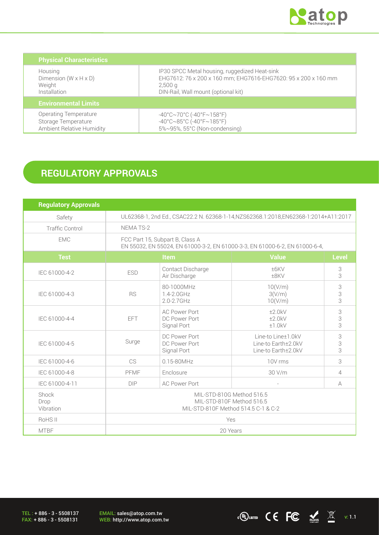

WEB: http://www.atop.com.tw v: 1.1

| <b>Physical Characteristics</b>   |                                                                                   |
|-----------------------------------|-----------------------------------------------------------------------------------|
| Housing                           | IP30 SPCC Metal housing, ruggedized Heat-sink                                     |
| Dimension $(W \times H \times D)$ | EHG7612: 76 x 200 x 160 mm; EHG7616-EHG7620: 95 x 200 x 160 mm                    |
| Weight                            | 2,500q                                                                            |
| Installation                      | DIN-Rail, Wall mount (optional kit)                                               |
| <b>Environmental Limits</b>       |                                                                                   |
| <b>Operating Temperature</b>      | $-40^{\circ}$ C $\sim$ 70 $^{\circ}$ C (-40 $^{\circ}$ F $\sim$ 158 $^{\circ}$ F) |
| Storage Temperature               | $-40^{\circ}$ C $\sim$ 85°C (-40°F $\sim$ 185°F)                                  |
| <b>Ambient Relative Humidity</b>  | 5%~95%, 55°C (Non-condensing)                                                     |

## **REGULATORY APPROVALS**

| <b>Regulatory Approvals</b> |                                                                                                                |                                                      |                                                                  |              |
|-----------------------------|----------------------------------------------------------------------------------------------------------------|------------------------------------------------------|------------------------------------------------------------------|--------------|
| Safety                      | UL62368-1, 2nd Ed., CSAC22.2 N. 62368-1-14, NZS62368.1:2018, EN62368-1:2014+A11:2017                           |                                                      |                                                                  |              |
| <b>Traffic Control</b>      | NEMA TS-2                                                                                                      |                                                      |                                                                  |              |
| <b>EMC</b>                  | FCC Part 15, Subpart B, Class A<br>EN 55032, EN 55024, EN 61000-3-2, EN 61000-3-3, EN 61000-6-2, EN 61000-6-4, |                                                      |                                                                  |              |
| <b>Test</b>                 | Item                                                                                                           |                                                      | <b>Value</b>                                                     | <b>Level</b> |
| IEC 61000-4-2               | <b>ESD</b>                                                                                                     | Contact Discharge<br>Air Discharge                   | ±6KV<br>±8KV                                                     | 3<br>3       |
| IEC 61000-4-3               | <b>RS</b>                                                                                                      | 80-1000MHz<br>1.4-2.0GHz<br>$2.0 - 2.7$ GHz          | 10(V/m)<br>3(V/m)<br>10(V/m)                                     | 3<br>3<br>3  |
| IEC 61000-4-4               | <b>EFT</b>                                                                                                     | <b>AC Power Port</b><br>DC Power Port<br>Signal Port | ±2.0kV<br>±2.0kV<br>±1.0kV                                       | 3<br>3<br>3  |
| IEC 61000-4-5               | Surge                                                                                                          | DC Power Port<br>DC Power Port<br>Signal Port        | Line-to Line±1.0kV<br>Line-to Earth±2.0kV<br>Line-to Earth±2.0kV | 3<br>3<br>3  |
| IEC 61000-4-6               | CS                                                                                                             | $0.15 - 80$ MHz                                      | 10V rms                                                          | 3            |
| IEC 61000-4-8               | PFMF<br>Enclosure                                                                                              |                                                      | 30 V/m                                                           | 4            |
| IEC 61000-4-11              | <b>DIP</b>                                                                                                     | <b>AC Power Port</b>                                 |                                                                  | А            |
| Shock<br>Drop<br>Vibration  | MIL-STD-810G Method 516.5<br>MIL-STD-810F Method 516.5<br>MIL-STD-810F Method 514.5 C-1 & C-2                  |                                                      |                                                                  |              |
| RoHS II                     | Yes                                                                                                            |                                                      |                                                                  |              |
| <b>MTBF</b>                 | 20 Years                                                                                                       |                                                      |                                                                  |              |

TEL : + 886 - 3 - 5508137 FAX: + 886 - 3 - 5508131

EMAIL: sales@atop.com.tw<br>WEB: http://www.atop.com.tw